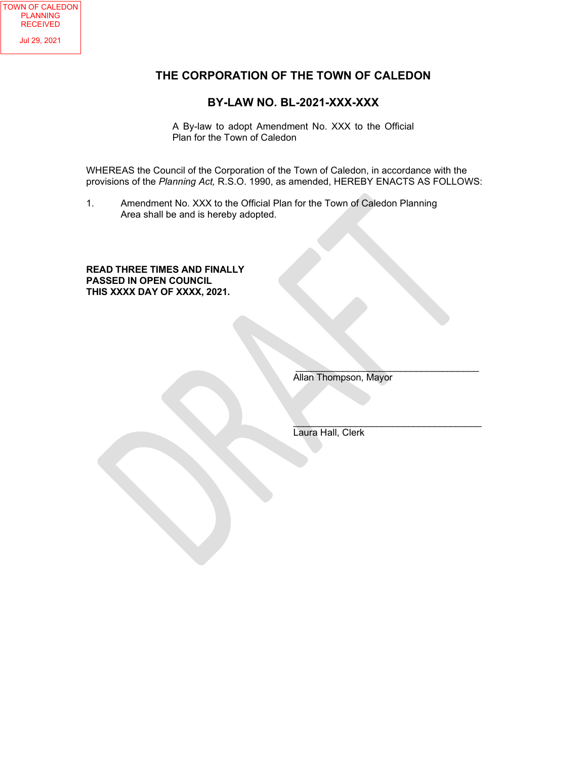## **THE CORPORATION OF THE TOWN OF CALEDON**

### **BY-LAW NO. BL-2021-XXX-XXX**

A By-law to adopt Amendment No. XXX to the Official Plan for the Town of Caledon

WHEREAS the Council of the Corporation of the Town of Caledon, in accordance with the provisions of the *Planning Act,* R.S.O. 1990, as amended, HEREBY ENACTS AS FOLLOWS:

1. Amendment No. XXX to the Official Plan for the Town of Caledon Planning Area shall be and is hereby adopted.

#### **READ THREE TIMES AND FINALLY PASSED IN OPEN COUNCIL THIS XXXX DAY OF XXXX, 2021.**

Allan Thompson, Mayor

 $\overline{\phantom{a}}$  ,  $\overline{\phantom{a}}$  ,  $\overline{\phantom{a}}$  ,  $\overline{\phantom{a}}$  ,  $\overline{\phantom{a}}$  ,  $\overline{\phantom{a}}$  ,  $\overline{\phantom{a}}$  ,  $\overline{\phantom{a}}$  ,  $\overline{\phantom{a}}$  ,  $\overline{\phantom{a}}$  ,  $\overline{\phantom{a}}$  ,  $\overline{\phantom{a}}$  ,  $\overline{\phantom{a}}$  ,  $\overline{\phantom{a}}$  ,  $\overline{\phantom{a}}$  ,  $\overline{\phantom{a}}$ 

 $\overline{\phantom{a}}$  , and the contract of the contract of the contract of the contract of the contract of the contract of the contract of the contract of the contract of the contract of the contract of the contract of the contrac Laura Hall, Clerk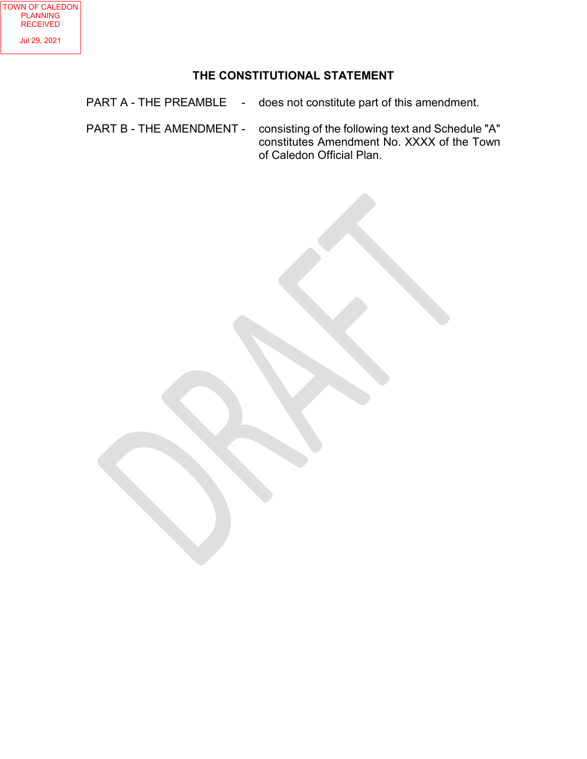# **THE CONSTITUTIONAL STATEMENT**

- PART A THE PREAMBLE does not constitute part of this amendment.
- PART B THE AMENDMENT consisting of the following text and Schedule "A" constitutes Amendment No. XXXX of the Town of Caledon Official Plan.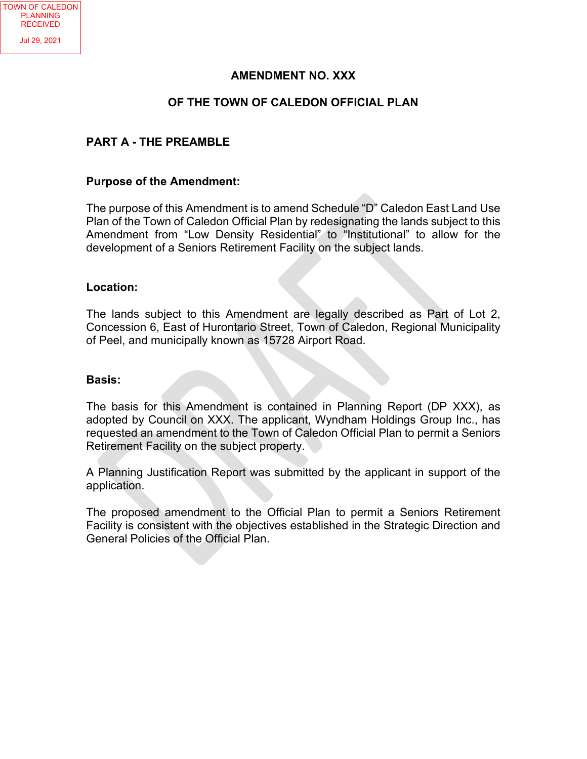### **AMENDMENT NO. XXX**

### **OF THE TOWN OF CALEDON OFFICIAL PLAN**

### **PART A - THE PREAMBLE**

#### **Purpose of the Amendment:**

The purpose of this Amendment is to amend Schedule "D" Caledon East Land Use Plan of the Town of Caledon Official Plan by redesignating the lands subject to this Amendment from "Low Density Residential" to "Institutional" to allow for the development of a Seniors Retirement Facility on the subject lands.

#### **Location:**

The lands subject to this Amendment are legally described as Part of Lot 2, Concession 6, East of Hurontario Street, Town of Caledon, Regional Municipality of Peel, and municipally known as 15728 Airport Road.

#### **Basis:**

The basis for this Amendment is contained in Planning Report (DP XXX), as adopted by Council on XXX. The applicant, Wyndham Holdings Group Inc., has requested an amendment to the Town of Caledon Official Plan to permit a Seniors Retirement Facility on the subject property.

A Planning Justification Report was submitted by the applicant in support of the application.

The proposed amendment to the Official Plan to permit a Seniors Retirement Facility is consistent with the objectives established in the Strategic Direction and General Policies of the Official Plan.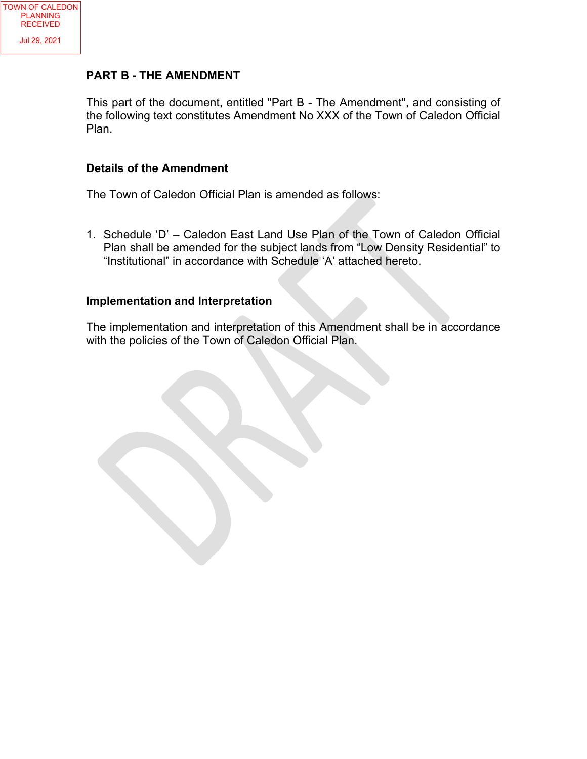### **PART B - THE AMENDMENT**

This part of the document, entitled "Part B - The Amendment", and consisting of the following text constitutes Amendment No XXX of the Town of Caledon Official Plan.

### **Details of the Amendment**

The Town of Caledon Official Plan is amended as follows:

1. Schedule 'D' – Caledon East Land Use Plan of the Town of Caledon Official Plan shall be amended for the subject lands from "Low Density Residential" to "Institutional" in accordance with Schedule 'A' attached hereto.

### **Implementation and Interpretation**

The implementation and interpretation of this Amendment shall be in accordance with the policies of the Town of Caledon Official Plan.